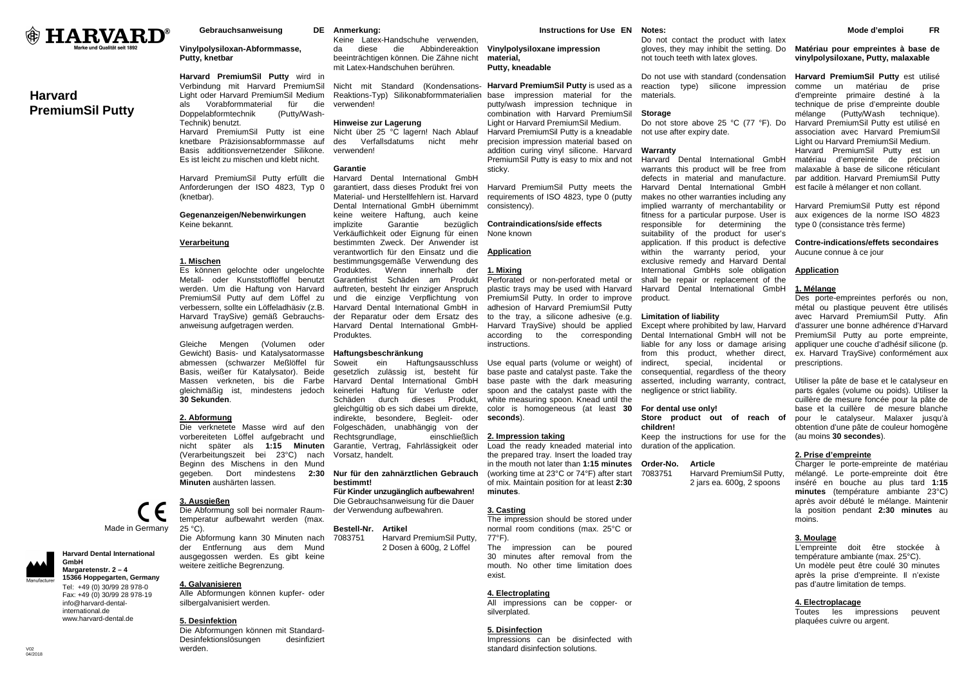

# **Harvard PremiumSil Putty**

**Gebrauchsanweisung** 

# **Vinylpolysiloxan-Abformmasse, Putty, knetbar**

**Harvard PremiumSil Putty** wird in Verbindung mit Harvard PremiumSil Light oder Harvard PremiumSil Medium die als Vorabformmaterial für Doppelabformtechnik (Putty/Wash-Technik) benutzt. Harvard PremiumSil Putty ist eine knetbare Präzisionsabformmasse auf Basis additionsvernetzender Silikone. Es ist leicht zu mischen und klebt nicht.

Harvard PremiumSil Putty erfüllt die Anforderungen der ISO 4823, Typ 0 (knetbar).

# **Gegenanzeigen/Nebenwirkungen** Keine bekannt.

# **Verarbeitung**

# **1. Mischen**

 Es können gelochte oder ungelochte Metall- oder Kunststofflöffel benutzt werden. Um die Haftung von Harvard PremiumSil Putty auf dem Löffel zu verbessern, sollte ein Löffeladhäsiv (z.B. Harvard TraySive) gemäß Gebrauchsanweisung aufgetragen werden.

Gleiche Mengen (Volumen oder Gewicht) Basis- und Katalysatormasse abmessen (schwarzer Meßlöffel für Basis, weißer für Katalysator). Beide Massen verkneten, bis die Farbe gleichmäßig ist, mindestens jedoch **30 Sekunden**.

# **2. Abformung**

 Die verknetete Masse wird auf den vorbereiteten Löffel aufgebracht und nicht später als **1:15 Minuten** (Verarbeitungszeit bei 23°C) nach Beginn des Mischens in den Mund gegeben. Dort mindestens **2:30 Minuten** aushärten lassen.

# **3. Ausgießen**

Made in Germany

**Harvard Dental International** 

 **Margaretenstr. 2 – 4 15366 Hoppegarten, Germany**Tel: +49 (0) 30/99 28 978-0 Fax: +49 (0) 30/99 28 978-19 info@harvard-dentalinternational de www.harvard-dental.de

**GmbH** 

 Die Abformung soll bei normaler Raumtemperatur aufbewahrt werden (max.  $25 °C$ ). Die Abformung kann 30 Minuten nach der Entfernung aus dem Mund ausgegossen werden. Es gibt keine

# **4. Galvanisieren**

 Alle Abformungen können kupfer- oder silbergalvanisiert werden.

weitere zeitliche Begrenzung.

# **5. Desinfektion**

 Die Abformungen können mit Standard-Desinfektionslösungen desinfiziert werden.

# **Anmerkung:**

 Keine Latex-Handschuhe verwenden, da diese die Abbindereaktion beeinträchtigen können. Die Zähne nicht mit Latex-Handschuhen berühren. **Vinylpolysiloxane impression material, Putty, kneadable** 

Nicht mit Standard (Kondensations-**Harvard PremiumSil Putty** is used as a Reaktions-Typ) Silikonabformmaterialien base impression material for the verwenden! putty/wash impression technique in combination with Harvard PremiumSil

# **Hinweise zur Lagerung**

 Nicht über 25 °C lagern! Nach Ablauf mehr des Verfallsdatums nicht verwenden!

# **Garantie**

 Harvard Dental International GmbH garantiert, dass dieses Produkt frei von Material- und Herstellfehlern ist. Harvard Dental International GmbH übernimmt keine weitere Haftung, auch keine implizite Garantie bezüglich Verkäuflichkeit oder Eignung für einen bestimmten Zweck. Der Anwender ist verantwortlich für den Einsatz und die bestimmungsgemäße Verwendung des Produktes. Wenn innerhalb der Garantiefrist Schäden am Produkt auftreten, besteht Ihr einziger Anspruch und die einzige Verpflichtung von Harvard Dental International GmbH in adhesion of Harvard PremiumSil Putty der Reparatur oder dem Ersatz des to the tray, a silicone adhesive (e.g. Harvard Dental International GmbH-Produktes.

# **Haftungsbeschränkung**

 Soweit ein Haftungsausschluss Use equal parts (volume or weight) of gesetzlich zulässig ist, besteht für base paste and catalyst paste. Take the Harvard Dental International GmbH base paste with the dark measuring keinerlei Haftung für Verluste oder Schäden durch dieses Produkt, gleichgültig ob es sich dabei um direkte, indirekte, besondere, Begleit- oder Folgeschäden, unabhängig von der einschließlich Rechtsgrundlage, Garantie, Vertrag, Fahrlässigkeit oder Vorsatz, handelt.

# **Nur für den zahnärztlichen Gebrauch bestimmt!**

 **Für Kinder unzugänglich aufbewahren!**  Die Gebrauchsanweisung für die Dauer der Verwendung aufbewahren.

### **Bestell-Nr. Artikel**

 7083751 Harvard PremiumSil Putty, 2 Dosen à 600g, 2 Löffel

# 30 minutes after removal from the

77°F).

# **4. Electroplating**

 Do not contact the product with latex gloves, they may inhibit the setting. Do not touch teeth with latex gloves.

Do not use with standard (condensation reaction type) silicone impression materials.

# **Storage**

**Notes:** 

**Instructions for Use EN** 

Light or Harvard PremiumSil Medium. Harvard PremiumSil Putty is a kneadable precision impression material based on addition curing vinyl silicone. Harvard PremiumSil Putty is easy to mix and not

Harvard PremiumSil Putty meets the requirements of ISO 4823, type 0 (putty

 Perforated or non-perforated metal or plastic trays may be used with Harvard PremiumSil Putty. In order to improve

 white measuring spoon. Knead until the color is homogeneous (at least **30** 

 Load the ready kneaded material into the prepared tray. Insert the loaded tray

 (working time at 23°C or 74°F) after start of mix. Maintain position for at least **2:30** 

 The impression should be stored under normal room conditions (max. 25°C or

The impression can be poured

**Contraindications/side effects** 

sticky.

consistency).

None known **Application1. Mixing**

instructions.

**seconds**).

**minutes**. **3. Casting**

**2. Impression taking**

 Do not store above 25 °C (77 °F). Do not use after expiry date.

# **Warranty**

 Harvard Dental International GmbH warrants this product will be free from defects in material and manufacture. Harvard Dental International GmbH makes no other warranties including any implied warranty of merchantability or fitness for a particular purpose. User is the responsible for determining suitability of the product for user's application. If this product is defective within the warranty period, your exclusive remedy and Harvard Dental International GmbHs sole obligation shall be repair or replacement of the Harvard Dental International GmbH product.

# **Limitation of liability**

 Harvard TraySive) should be applied according to the corresponding spoon and the catalyst paste with the Except where prohibited by law, Harvard Dental International GmbH will not be liable for any loss or damage arising from this product, whether direct, or indirect. special. incidental consequential, regardless of the theory asserted, including warranty, contract, negligence or strict liability.

### **For dental use only!**

 **Store product out of reach of children!** 

 Keep the instructions for use for the duration of the application.

### in the mouth not later than **1:15 minutesOrder-No. Article**

 7083751 Harvard PremiumSil Putty, 2 jars ea. 600g, 2 spoons

# **3. Moulage**

 L'empreinte doit être stockée à température ambiante (max. 25°C). Un modèle peut être coulé 30 minutes après la prise d'empreinte. Il n'existe pas d'autre limitation de temps.

# **4. Electroplacage**

 Toutes les impressions peuvent plaquées cuivre ou argent.

# **Mode d'emploi FR**

# **Matériau pour empreintes à base de vinylpolysiloxane, Putty, malaxable**

**Harvard PremiumSil Putty** est utilisé comme un matériau de prise d'empreinte primaire destiné à la technique de prise d'empreinte double mélange (Putty/Wash technique). Harvard PremiumSil Putty est utilisé en association avec Harvard PremiumSil Light ou Harvard PremiumSil Medium. Harvard PremiumSil Putty est un matériau d'empreinte de précision malaxable à base de silicone réticulant par addition. Harvard PremiumSil Putty est facile à mélanger et non collant.

Harvard PremiumSil Putty est répond aux exigences de la norme ISO 4823 type 0 (consistance très ferme)

# **Contre-indications/effets secondaires** Aucune connue à ce jour

# **Application**

# **1. Mélange**

 Des porte-empreintes perforés ou non, métal ou plastique peuvent être utilisés avec Harvard PremiumSil Putty. Afin d'assurer une bonne adhérence d'Harvard PremiumSil Putty au porte empreinte, appliquer une couche d'adhésif silicone (p. ex. Harvard TraySive) conformément aux prescriptions.

Utiliser la pâte de base et le catalyseur en parts égales (volume ou poids). Utiliser la cuillère de mesure foncée pour la pâte de base et la cuillère de mesure blanche pour le catalyseur. Malaxer jusqu'à obtention d'une pâte de couleur homogène (au moins **30 secondes**).

# **2. Prise d'empreinte**

 Charger le porte-empreinte de matériau mélangé. Le porte-empreinte doit être inséré en bouche au plus tard **1:15 minutes** (température ambiante 23°C) après avoir débuté le mélange. Maintenir la position pendant **2:30 minutes** au moins.



# mouth. No other time limitation does exist.

 All impressions can be copper- or silverplated.

# **5. Disinfection**

 Impressions can be disinfected with standard disinfection solutions.